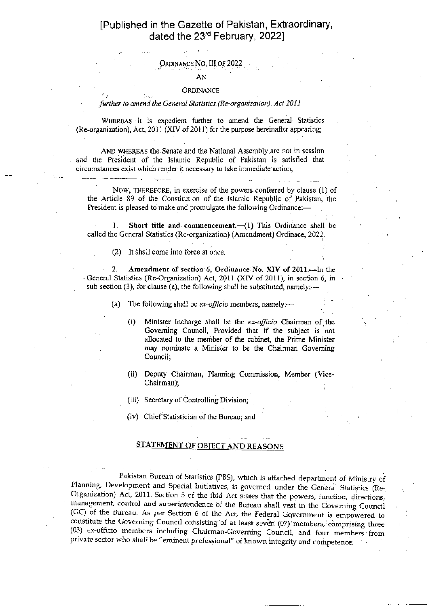## [Published in the Gazette of Pakistan, Extraordinary, dated the 23<sup>rd</sup> February, 2022]

#### Ordinance No. III of 2022

#### AN

#### ORDINANCE

#### further to amend the General Statistics (Re-organization), Act 2011

WHEREAS it is expedient further to amend the General Statistics (Re-organization), Act, 2011 (XIV of 2011) fcr the purpose hereinafter appearing;

AND WHEREAS the Senate and the National Assembly are not in session and the President of the Islamic Republic of Pakistan is satisfied that circumstances exist which render it necessary to take immediate action;

NOW, THEREFORE, in exercise of the powers conferred by clause (1) of the Anicle 89 of the Constitution of the Islamic Republic of Palistan, the President is pleased to make and promulgate the following Ordinance:-

1. Short title and commencement. (1) This Ordinance shall be called the General Statistics (Re-organization) (Amendment) Ordinace,2022.

(2) It shall come into force at once.

2. Amcndment of section 6, Ordimnce No. XIV of 2011.-In the General Statistics (Re-Organization) Act, 2011 (XIV of 2011), in section 6, in sub-section (3), for clause (a), the following shall be substituted, namely:---

- (a) The following shall be *ex-officio* members, namely:-
	- (i) Minister Incharge shall be the  $ex$ -officio Chairman of the Governing Council, Provided that if the subject is not allocated to the member of the cabinet, the Prime Minister may nominate a Minister to be the Chairman Goveming Council;
	- (ii) Deputy Chairman, Planning Commission, Member (Vice-Chairman);
	- (iii) Secretary of Controlling Division;
	- (iv) Chief Statisrician of the Bureau; and

### STATEMENT OF OBIECT AND REASONS

Pakistan Bureau of Statistics (PBS), which is attached department of Ministry of<br>Planning, Development and Special Initiatives, is governed under the General Statistics (Re-<br>Organization) Act, 2011. Section 5 of the ibid A (GC) of the Bureau. As per Section 6 of the Act, the Federal Government is empowered to constitute the Governing Council consisting of at least seven (07) members, comprising three (03) ex-officio members including Chairman-Governing Council, and four members from private sector who shall be "eminent professional" of known integrity and competence.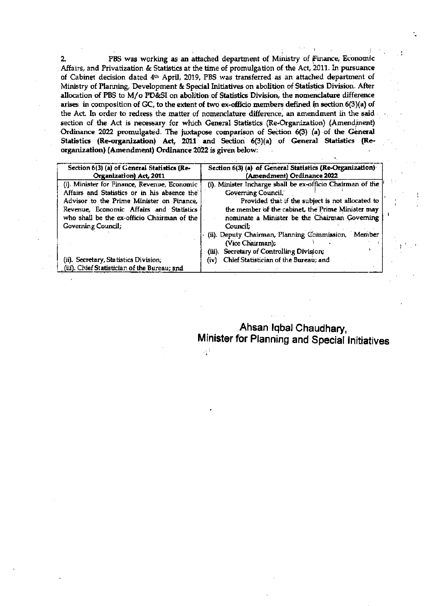$2.$ PBS was working as an attached department of Ministry of Finance, Economic Affairs, and Privatization & Statistics at the time of promulgation of the Act, 2011. In pursuance of Cabinet decision dated 4th April, 2019, PBS was transferred as an attached department of Ministry of Planning, Development & Special Initiatives on abolition of Statistics Division. After allocation of PBS to M/o PD&SI on abolition of Statistics Division, the nomenclature difference arises in composition of GC, to the extent of two ex-officio members defined in section 6(3)(a) of the Act. In order to redress the matter of nomenclature difference, an amendment in the said section of the Act is necessary for which General Statistics (Re-Organization) (Amendment) Ordinance 2022 promulgated. The juxtapose comparison of Section 6(3) (a) of the General Statistics (Re-organization) Act, 2011 and Section 6(3)(a) of General Statistics (Reorganization) (Amendment) Ordinance 2022 is given below:

| Section 6(3) (a) of General Statistics (Re-                                           | Section 6(3) (a) of General Statistics (Re-Organization)                                                                                                             |
|---------------------------------------------------------------------------------------|----------------------------------------------------------------------------------------------------------------------------------------------------------------------|
| Organization) Act, 2011                                                               | (Amendment) Ordinance 2022                                                                                                                                           |
| (i). Minister for Finance, Revenue, Economic                                          | (i). Minister Incharge shall be ex-officio Chairman of the                                                                                                           |
| Affairs and Statistics or in his absence the                                          | <b>Governing Council,</b>                                                                                                                                            |
| Advisor to the Prime Minister on Finance,                                             | Provided that if the subject is not allocated to                                                                                                                     |
| Revenue, Economic Affairs and Statistics                                              | the member of the cabinet, the Prime Minister may                                                                                                                    |
| who shall be the ex-officio Chairman of the                                           | nominate a Minister be the Chairman Governing                                                                                                                        |
| Governing Council;                                                                    | Council:                                                                                                                                                             |
| (ii). Secretary, Statistics Division;<br>(iii). Chief Statistician of the Bureau; and | (ii). Deputy Chairman, Planning Commission, Member<br>(Vice Chairman);<br>(iii). Secretary of Controlling Division;<br>Chief Statistician of the Bureau; and<br>(iv) |

Ahsan Iqbal Chaudhary, Minister for Planning and Special Initiatives

- 일본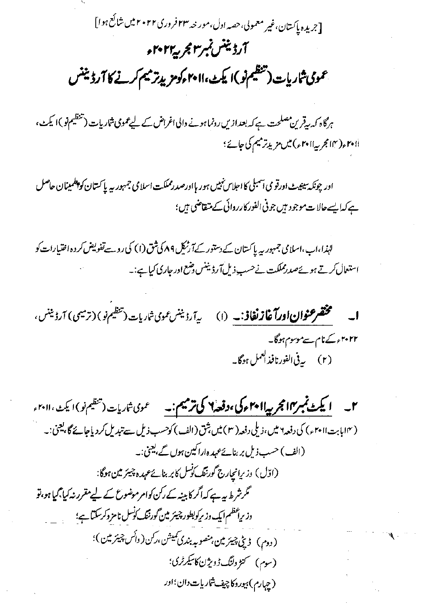[جریده پاکستان،غیر معمولی،حصہ اول،مور خد ۲۳ فروری۲۰۲۲ میں شائع ہوا] آرڈیننس نمبر ۳ مجر پہ ۲۰۲۲ء عمومی شاریات (تنظیم نو)ا یکٹ،اام امومزیدتر میم کرنے کا آرڈیننس

ہرگاہ کہ بیقرین مصلحت ہے کہ بعدازیں رونما ہونے دالی اغراض کے لیے عمومی شاریات (تنظیم نو )ا کیٹ، r•ilم(٣١٢عربية ٢٠١١ع) ميں مزيد ترميم کی جائے ؛

اور چونکہ سینیٹ اورقو می آسبلی کا اجلاس نہیں ہور ہااورصدرمملکت اسلامی جمہور ہہ پاکستان کو پلمینان حاصل ہے کہا یہےحالات موجود ہیں جو فی الفور کارروائی کے متقاضی ہی؛

لہٰذا،اب،اسلامی جمہور <sub>سے</sub> پاکستان کے دستور کے آرٹیک ۸۹ کی شق (۱) کی روسے تفویض کردہ اختیارات کو استعال کرتے ہوئےصدرمملکت نےحسب ذیل آرڈینٹس وضع اور جاری کیاہے:۔

**ا۔ مختصر عنوان اورآ غاز نغاذ:۔** (۱) ی<sub>رآ</sub>رڈینس عمومی ش<sub>اریات</sub> (تنظیم نو) (ترمیمی) آرڈینس، ۲۰۲۲ء کے نام سے موسوم ہوگا۔ (۲) په يې الفورنافذ ا<sup>لعمل</sup> ہوگا۔

**اسکٹ نمبر۱۳ مجربیہ اا مہموکی ،وفعہ ۲ کی ترمیم :۔** محموی ش<sub>اریات</sub> (تنظیم نو) ایمن، ۲۰۱۱ <sub>ء</sub>  $\mathcal{I}$ (۱۴ مابابت۱۱ *۲۰)* کی دفعہ ۲ میں، ذیلی دفعہ( ۳ ) میں شق (الف) کوحسب ذیل سے تبدیل کردیاجائے گا، یعنی:۔ (الف) حسب ذیل بر بنائے عہدہ اراکین ہوں گے، یعنی:۔ (اوّل) دزیرانیارج گورننگ کوسل کابر بنائےعہدہ چیئر میں ہوگا: گرشرط ہے۔ کہ اگر کابینہ کے رکن کوامر موضوع کے لیے مقرر نہ کیا جمالتی ہو، تو وزیراعظم ایک وزیرکولبطور چیئر مین گورننگ کوسل نامز دکرسکتا ہے؛ (دوم) ڈی چیئرمین، منصوبہ بندی کمیشن،رکن(وائس چیئرمین)؛ (سوم) گنزوننگ ڈویژن کاسکرٹری؛ (چېارم) بېوروکاچيف شاريات دان<sup>؛</sup>اور